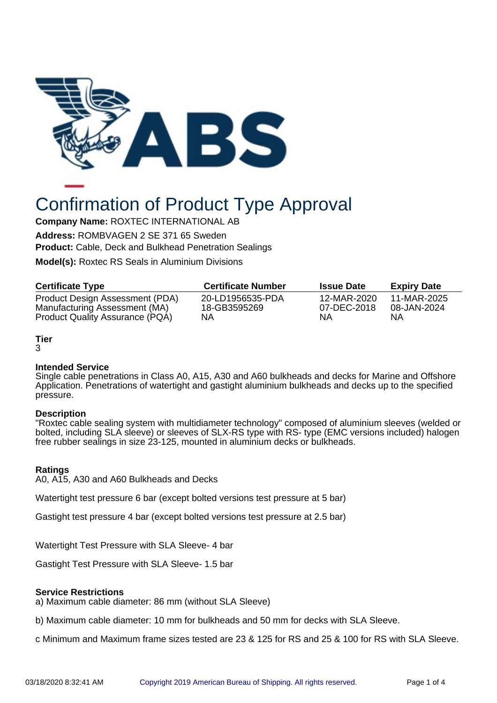

# Confirmation of Product Type Approval

**Company Name:** ROXTEC INTERNATIONAL AB

**Address:** ROMBVAGEN 2 SE 371 65 Sweden **Product:** Cable, Deck and Bulkhead Penetration Sealings

**Model(s):** Roxtec RS Seals in Aluminium Divisions

| <b>Certificate Type</b>                | <b>Certificate Number</b> | <b>Issue Date</b> | <b>Expiry Date</b> |
|----------------------------------------|---------------------------|-------------------|--------------------|
| Product Design Assessment (PDA)        | 20-LD1956535-PDA          | 12-MAR-2020       | 11-MAR-2025        |
| Manufacturing Assessment (MA)          | 18-GB3595269              | 07-DEC-2018       | 08-JAN-2024        |
| <b>Product Quality Assurance (PQA)</b> | <b>NA</b>                 | ΝA                | ΝA                 |

# **Tier**

#### 3

# **Intended Service**

Single cable penetrations in Class A0, A15, A30 and A60 bulkheads and decks for Marine and Offshore Application. Penetrations of watertight and gastight aluminium bulkheads and decks up to the specified pressure.

# **Description**

"Roxtec cable sealing system with multidiameter technology" composed of aluminium sleeves (welded or bolted, including SLA sleeve) or sleeves of SLX-RS type with RS- type (EMC versions included) halogen free rubber sealings in size 23-125, mounted in aluminium decks or bulkheads.

# **Ratings**

A0, A15, A30 and A60 Bulkheads and Decks

Watertight test pressure 6 bar (except bolted versions test pressure at 5 bar)

Gastight test pressure 4 bar (except bolted versions test pressure at 2.5 bar)

Watertight Test Pressure with SLA Sleeve- 4 bar

Gastight Test Pressure with SLA Sleeve- 1.5 bar

# **Service Restrictions**

a) Maximum cable diameter: 86 mm (without SLA Sleeve)

b) Maximum cable diameter: 10 mm for bulkheads and 50 mm for decks with SLA Sleeve.

c Minimum and Maximum frame sizes tested are 23 & 125 for RS and 25 & 100 for RS with SLA Sleeve.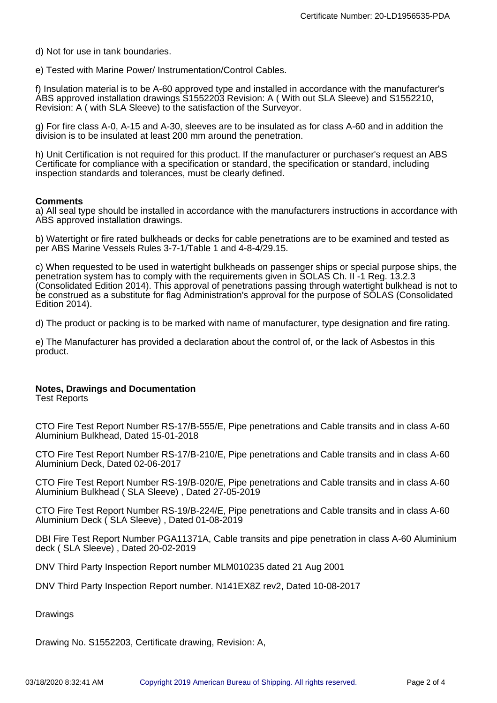d) Not for use in tank boundaries.

e) Tested with Marine Power/ Instrumentation/Control Cables.

f) Insulation material is to be A-60 approved type and installed in accordance with the manufacturer's ABS approved installation drawings S1552203 Revision: A ( With out SLA Sleeve) and S1552210, Revision: A ( with SLA Sleeve) to the satisfaction of the Surveyor.

g) For fire class A-0, A-15 and A-30, sleeves are to be insulated as for class A-60 and in addition the division is to be insulated at least 200 mm around the penetration.

h) Unit Certification is not required for this product. If the manufacturer or purchaser's request an ABS Certificate for compliance with a specification or standard, the specification or standard, including inspection standards and tolerances, must be clearly defined.

#### **Comments**

a) All seal type should be installed in accordance with the manufacturers instructions in accordance with ABS approved installation drawings.

b) Watertight or fire rated bulkheads or decks for cable penetrations are to be examined and tested as per ABS Marine Vessels Rules 3-7-1/Table 1 and 4-8-4/29.15.

c) When requested to be used in watertight bulkheads on passenger ships or special purpose ships, the penetration system has to comply with the requirements given in SOLAS Ch. II -1 Reg. 13.2.3 (Consolidated Edition 2014). This approval of penetrations passing through watertight bulkhead is not to be construed as a substitute for flag Administration's approval for the purpose of SOLAS (Consolidated Edition 2014).

d) The product or packing is to be marked with name of manufacturer, type designation and fire rating.

e) The Manufacturer has provided a declaration about the control of, or the lack of Asbestos in this product.

## **Notes, Drawings and Documentation**

Test Reports

CTO Fire Test Report Number RS-17/B-555/E, Pipe penetrations and Cable transits and in class A-60 Aluminium Bulkhead, Dated 15-01-2018

CTO Fire Test Report Number RS-17/B-210/E, Pipe penetrations and Cable transits and in class A-60 Aluminium Deck, Dated 02-06-2017

CTO Fire Test Report Number RS-19/B-020/E, Pipe penetrations and Cable transits and in class A-60 Aluminium Bulkhead ( SLA Sleeve) , Dated 27-05-2019

CTO Fire Test Report Number RS-19/B-224/E, Pipe penetrations and Cable transits and in class A-60 Aluminium Deck ( SLA Sleeve) , Dated 01-08-2019

DBI Fire Test Report Number PGA11371A, Cable transits and pipe penetration in class A-60 Aluminium deck ( SLA Sleeve) , Dated 20-02-2019

DNV Third Party Inspection Report number MLM010235 dated 21 Aug 2001

DNV Third Party Inspection Report number. N141EX8Z rev2, Dated 10-08-2017

Drawings

Drawing No. S1552203, Certificate drawing, Revision: A,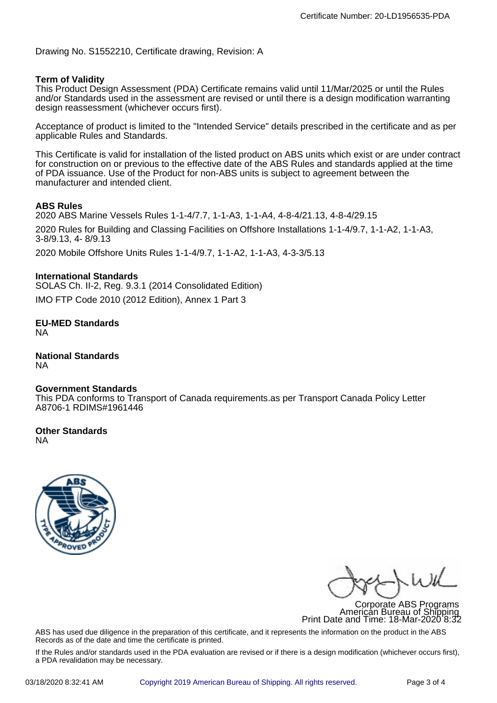Drawing No. S1552210, Certificate drawing, Revision: A

## **Term of Validity**

This Product Design Assessment (PDA) Certificate remains valid until 11/Mar/2025 or until the Rules and/or Standards used in the assessment are revised or until there is a design modification warranting design reassessment (whichever occurs first).

Acceptance of product is limited to the "Intended Service" details prescribed in the certificate and as per applicable Rules and Standards.

This Certificate is valid for installation of the listed product on ABS units which exist or are under contract for construction on or previous to the effective date of the ABS Rules and standards applied at the time of PDA issuance. Use of the Product for non-ABS units is subject to agreement between the manufacturer and intended client.

## **ABS Rules**

2020 ABS Marine Vessels Rules 1-1-4/7.7, 1-1-A3, 1-1-A4, 4-8-4/21.13, 4-8-4/29.15 2020 Rules for Building and Classing Facilities on Offshore Installations 1-1-4/9.7, 1-1-A2, 1-1-A3, 3-8/9.13, 4- 8/9.13

2020 Mobile Offshore Units Rules 1-1-4/9.7, 1-1-A2, 1-1-A3, 4-3-3/5.13

## **International Standards**

SOLAS Ch. II-2, Reg. 9.3.1 (2014 Consolidated Edition)

IMO FTP Code 2010 (2012 Edition), Annex 1 Part 3

**EU-MED Standards** NA

**National Standards** NA

## **Government Standards**

This PDA conforms to Transport of Canada requirements.as per Transport Canada Policy Letter A8706-1 RDIMS#1961446

**Other Standards** NA



 $\frac{1}{4}$ 

Corporate ABS Programs American Bureau of Shipping Print Date and Time: 18-Mar-2020 8:32

ABS has used due diligence in the preparation of this certificate, and it represents the information on the product in the ABS Records as of the date and time the certificate is printed.

If the Rules and/or standards used in the PDA evaluation are revised or if there is a design modification (whichever occurs first), a PDA revalidation may be necessary.